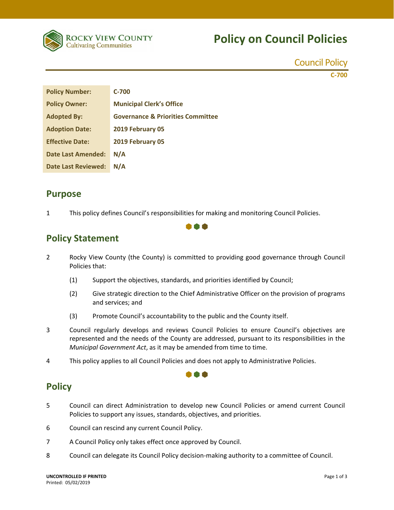

# **Policy on Council Policies**

Council Policy

**C‐700**

| <b>Policy Number:</b>      | C-700                                        |
|----------------------------|----------------------------------------------|
| <b>Policy Owner:</b>       | <b>Municipal Clerk's Office</b>              |
| <b>Adopted By:</b>         | <b>Governance &amp; Priorities Committee</b> |
| <b>Adoption Date:</b>      | 2019 February 05                             |
| <b>Effective Date:</b>     | 2019 February 05                             |
| <b>Date Last Amended:</b>  | N/A                                          |
| <b>Date Last Reviewed:</b> | N/A                                          |

### **Purpose**

1 This policy defines Council's responsibilities for making and monitoring Council Policies.

## **Policy Statement**

2 Rocky View County (the County) is committed to providing good governance through Council Policies that:

000

- (1) Support the objectives, standards, and priorities identified by Council;
- (2) Give strategic direction to the Chief Administrative Officer on the provision of programs and services; and
- (3) Promote Council's accountability to the public and the County itself.
- 3 Council regularly develops and reviews Council Policies to ensure Council's objectives are represented and the needs of the County are addressed, pursuant to its responsibilities in the *Municipal Government Act*, as it may be amended from time to time.

n a r

4 This policy applies to all Council Policies and does not apply to Administrative Policies.

### **Policy**

- 5 Council can direct Administration to develop new Council Policies or amend current Council Policies to support any issues, standards, objectives, and priorities.
- 6 Council can rescind any current Council Policy.
- 7 A Council Policy only takes effect once approved by Council.
- 8 Council can delegate its Council Policy decision-making authority to a committee of Council.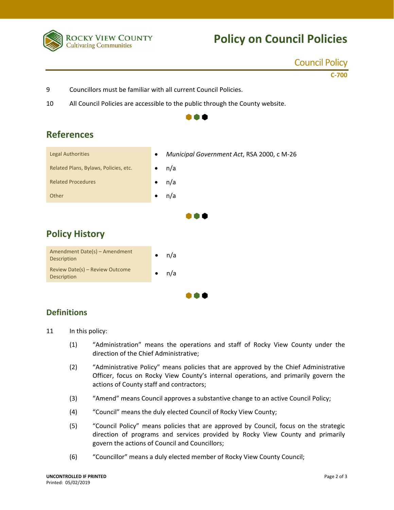

# **Policy on Council Policies**

#### Council Policy

**C‐700**

- 9 Councillors must be familiar with all current Council Policies.
- 10 All Council Policies are accessible to the public through the County website.

 $\bullet \bullet \bullet$ 



## **References**

#### **Definitions**

11 In this policy:

(1) "Administration" means the operations and staff of Rocky View County under the direction of the Chief Administrative;

 $\bullet \bullet \bullet$ 

- (2) "Administrative Policy" means policies that are approved by the Chief Administrative Officer, focus on Rocky View County's internal operations, and primarily govern the actions of County staff and contractors;
- (3) "Amend" means Council approves a substantive change to an active Council Policy;
- (4) "Council" means the duly elected Council of Rocky View County;
- (5) "Council Policy" means policies that are approved by Council, focus on the strategic direction of programs and services provided by Rocky View County and primarily govern the actions of Council and Councillors;
- (6) "Councillor" means a duly elected member of Rocky View County Council;